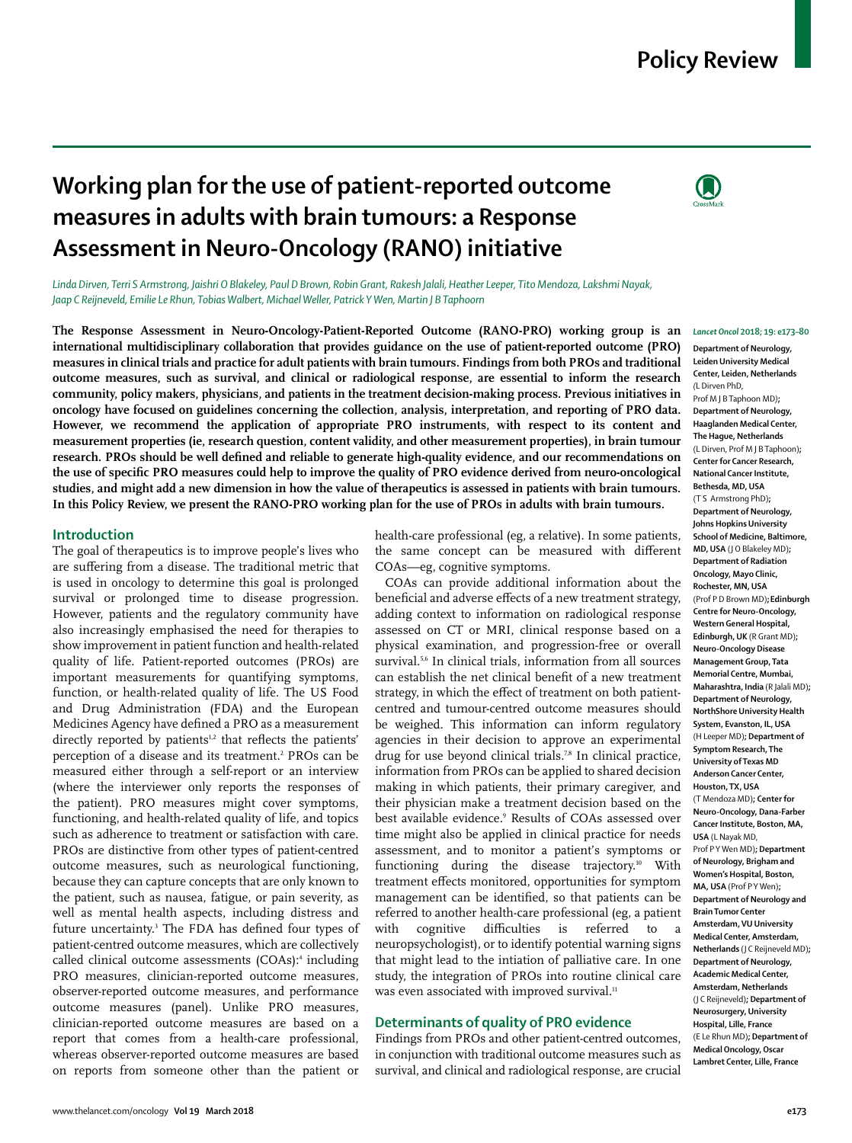# **Policy Review**

# **Working plan for the use of patient-reported outcome measures in adults with brain tumours: a Response Assessment in Neuro-Oncology (RANO) initiative**



*Linda Dirven, Terri S Armstrong, Jaishri O Blakeley, Paul D Brown, Robin Grant, Rakesh Jalali, Heather Leeper, Tito Mendoza, Lakshmi Nayak, Jaap C Reijneveld, Emilie Le Rhun, Tobias Walbert, Michael Weller, Patrick Y Wen, Martin J B Taphoorn*

**The Response Assessment in Neuro-Oncology-Patient-Reported Outcome (RANO-PRO) working group is an international multidisciplinary collaboration that provides guidance on the use of patient-reported outcome (PRO) measures in clinical trials and practice for adult patients with brain tumours. Findings from both PROs and traditional outcome measures, such as survival, and clinical or radiological response, are essential to inform the research community, policy makers, physicians, and patients in the treatment decision-making process. Previous initiatives in oncology have focused on guidelines concerning the collection, analysis, interpretation, and reporting of PRO data. However, we recommend the application of appropriate PRO instruments, with respect to its content and measurement properties (ie, research question, content validity, and other measurement properties), in brain tumour research. PROs should be well defined and reliable to generate high-quality evidence, and our recommendations on the use of specific PRO measures could help to improve the quality of PRO evidence derived from neuro-oncological studies, and might add a new dimension in how the value of therapeutics is assessed in patients with brain tumours. In this Policy Review, we present the RANO-PRO working plan for the use of PROs in adults with brain tumours.**

## **Introduction**

The goal of therapeutics is to improve people's lives who are suffering from a disease. The traditional metric that is used in oncology to determine this goal is prolonged survival or prolonged time to disease progression. However, patients and the regulatory community have also increasingly emphasised the need for therapies to show improvement in patient function and health-related quality of life. Patient-reported outcomes (PROs) are important measurements for quantifying symptoms, function, or health-related quality of life. The US Food and Drug Administration (FDA) and the European Medicines Agency have defined a PRO as a measurement directly reported by patients<sup>1,2</sup> that reflects the patients' perception of a disease and its treatment.<sup>2</sup> PROs can be measured either through a self-report or an interview (where the interviewer only reports the responses of the patient). PRO measures might cover symptoms, functioning, and health-related quality of life, and topics such as adherence to treatment or satisfaction with care. PROs are distinctive from other types of patient-centred outcome measures**,** such as neurological functioning, because they can capture concepts that are only known to the patient, such as nausea, fatigue, or pain severity, as well as mental health aspects, including distress and future uncertainty.<sup>3</sup> The FDA has defined four types of patient-centred outcome measures, which are collectively called clinical outcome assessments (COAs):<sup>4</sup> including PRO measures, clinician-reported outcome measures, observer-reported outcome measures, and performance outcome measures (panel). Unlike PRO measures, clinician-reported outcome measures are based on a report that comes from a health-care professional, whereas observer-reported outcome measures are based on reports from someone other than the patient or

health-care professional (eg, a relative). In some patients, the same concept can be measured with different COAs—eg, cognitive symptoms.

COAs can provide additional information about the beneficial and adverse effects of a new treatment strategy, adding context to information on radiological response assessed on CT or MRI, clinical response based on a physical examination, and progression-free or overall survival.<sup>5,6</sup> In clinical trials, information from all sources can establish the net clinical benefit of a new treatment strategy, in which the effect of treatment on both patientcentred and tumour-centred outcome measures should be weighed. This information can inform regulatory agencies in their decision to approve an experimental drug for use beyond clinical trials.<sup>7,8</sup> In clinical practice, information from PROs can be applied to shared decision making in which patients, their primary caregiver, and their physician make a treatment decision based on the best available evidence.<sup>9</sup> Results of COAs assessed over time might also be applied in clinical practice for needs assessment, and to monitor a patient's symptoms or functioning during the disease trajectory.<sup>10</sup> With treatment effects monitored, opportunities for symptom management can be identified, so that patients can be referred to another health-care professional (eg, a patient with cognitive difficulties is referred to a neuropsychologist), or to identify potential warning signs that might lead to the intiation of palliative care. In one study, the integration of PROs into routine clinical care was even associated with improved survival.<sup>11</sup>

# **Determinants of quality of PRO evidence**

Findings from PROs and other patient-centred outcomes, in conjunction with traditional outcome measures such as survival, and clinical and radiological response, are crucial

#### *Lancet Oncol* **2018; 19: e173–80**

**Department of Neurology***,*  **Leiden University Medical Center, Leiden, Netherlands** *(*L Dirven PhD,

Prof M J B Taphoon MD*)***; Department of Neurology, Haaglanden Medical Center, The Hague, Netherlands** (L Dirven, Prof M J B Taphoon)**; Center for Cancer Research, National Cancer Institute, Bethesda, MD, USA** (T S Armstrong PhD)**; Department of Neurology, Johns Hopkins University School of Medicine, Baltimore, MD, USA** (J O Blakeley MD)**; Department of Radiation Oncology, Mayo Clinic, Rochester, MN, USA** (Prof P D Brown MD)**;Edinburgh Centre for Neuro-Oncology, Western General Hospital, Edinburgh, UK** (R Grant MD)**; Neuro-Oncology Disease Management Group, Tata Memorial Centre, Mumbai, Maharashtra, India** (R Jalali MD)**; Department of Neurology, NorthShore University Health System, Evanston, IL, USA** (H Leeper MD)**; Department of Symptom Research, The University of Texas MD Anderson Cancer Center, Houston, TX, USA** (T Mendoza MD)**; Center for Neuro-Oncology, Dana-Farber Cancer Institute, Boston, MA, USA** (L Nayak MD, Prof P Y Wen MD)**; Department of Neurology, Brigham and Women's Hospital, Boston, MA, USA** (Prof P Y Wen)**; Department of Neurology and Brain Tumor Center Amsterdam, VU University Medical Center, Amsterdam, Netherlands** (J C Reijneveld MD)**; Department of Neurology, Academic Medical Center, Amsterdam, Netherlands** (J C Reijneveld)**; Department of Neurosurgery, University Hospital, Lille, France**  (E Le Rhun MD)**; Department of Medical Oncology, Oscar Lambret Center, Lille, France**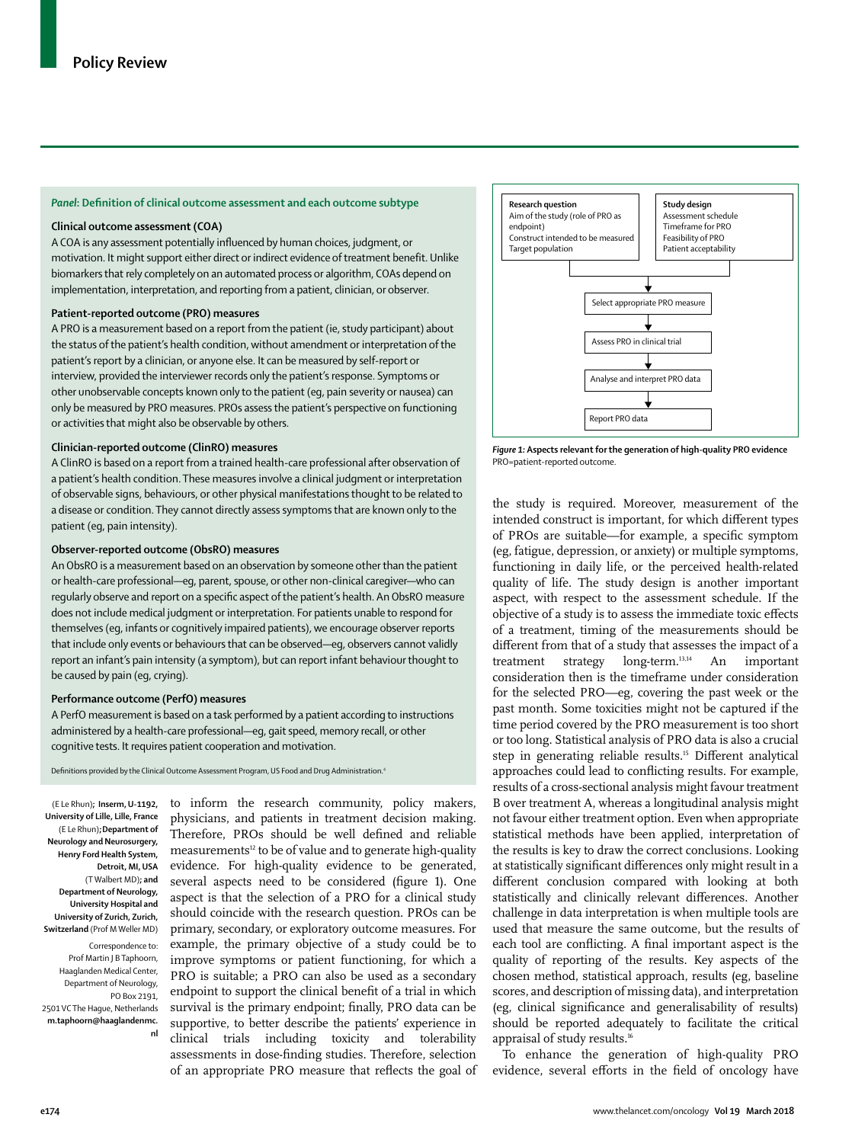## *Panel***: Definition of clinical outcome assessment and each outcome subtype**

### **Clinical outcome assessment (COA)**

A COA is any assessment potentially influenced by human choices, judgment, or motivation. It might support either direct or indirect evidence of treatment benefit. Unlike biomarkers that rely completely on an automated process or algorithm, COAs depend on implementation, interpretation, and reporting from a patient, clinician, or observer.

## **Patient-reported outcome (PRO) measures**

A PRO is a measurement based on a report from the patient (ie, study participant) about the status of the patient's health condition, without amendment or interpretation of the patient's report by a clinician, or anyone else. It can be measured by self-report or interview, provided the interviewer records only the patient's response. Symptoms or other unobservable concepts known only to the patient (eg, pain severity or nausea) can only be measured by PRO measures. PROs assess the patient's perspective on functioning or activities that might also be observable by others.

#### **Clinician-reported outcome (ClinRO) measures**

A ClinRO is based on a report from a trained health-care professional after observation of a patient's health condition. These measures involve a clinical judgment or interpretation of observable signs, behaviours, or other physical manifestations thought to be related to a disease or condition. They cannot directly assess symptoms that are known only to the patient (eg, pain intensity).

### **Observer-reported outcome (ObsRO) measures**

An ObsRO is a measurement based on an observation by someone other than the patient or health-care professional—eg, parent, spouse, or other non-clinical caregiver—who can regularly observe and report on a specific aspect of the patient's health. An ObsRO measure does not include medical judgment or interpretation. For patients unable to respond for themselves (eg, infants or cognitively impaired patients), we encourage observer reports that include only events or behaviours that can be observed—eg, observers cannot validly report an infant's pain intensity (a symptom), but can report infant behaviour thought to be caused by pain (eg, crying).

### **Performance outcome (PerfO) measures**

A PerfO measurement is based on a task performed by a patient according to instructions administered by a health-care professional—eg, gait speed, memory recall, or other cognitive tests. It requires patient cooperation and motivation.

Definitions provided by the Clinical Outcome Assessment Program, US Food and Drug Administration.4

(E Le Rhun)**; Inserm, U-1192, University of Lille, Lille, France** (E Le Rhun)**;Department of Neurology and Neurosurgery, Henry Ford Health System, Detroit, MI, USA** (T Walbert MD)**; and Department of Neurology, University Hospital and University of Zurich, Zurich, Switzerland** (Prof M Weller MD) Correspondence to: Prof Martin | B Taphoorn,

Haaglanden Medical Center, Department of Neurology, PO Box 2191, 2501 VC The Hague, Netherlands **m.taphoorn@haaglandenmc.**

**nl**

to inform the research community, policy makers, physicians, and patients in treatment decision making. Therefore, PROs should be well defined and reliable measurements<sup>12</sup> to be of value and to generate high-quality evidence. For high-quality evidence to be generated, several aspects need to be considered (figure 1). One aspect is that the selection of a PRO for a clinical study should coincide with the research question. PROs can be primary, secondary, or exploratory outcome measures. For example, the primary objective of a study could be to improve symptoms or patient functioning, for which a PRO is suitable; a PRO can also be used as a secondary endpoint to support the clinical benefit of a trial in which survival is the primary endpoint; finally, PRO data can be supportive, to better describe the patients' experience in clinical trials including toxicity and tolerability assessments in dose-finding studies. Therefore, selection of an appropriate PRO measure that reflects the goal of



*Figure 1:* **Aspects relevant for the generation of high-quality PRO evidence** PRO=patient-reported outcome.

the study is required. Moreover, measurement of the intended construct is important, for which different types of PROs are suitable—for example, a specific symptom (eg, fatigue, depression, or anxiety) or multiple symptoms, functioning in daily life, or the perceived health-related quality of life. The study design is another important aspect, with respect to the assessment schedule. If the objective of a study is to assess the immediate toxic effects of a treatment, timing of the measurements should be different from that of a study that assesses the impact of a treatment strategy long-term.13,14 An important consideration then is the timeframe under consideration for the selected PRO—eg, covering the past week or the past month. Some toxicities might not be captured if the time period covered by the PRO measurement is too short or too long. Statistical analysis of PRO data is also a crucial step in generating reliable results.<sup>15</sup> Different analytical approaches could lead to conflicting results. For example, results of a cross-sectional analysis might favour treatment B over treatment A, whereas a longitudinal analysis might not favour either treatment option. Even when appropriate statistical methods have been applied, interpretation of the results is key to draw the correct conclusions. Looking at statistically significant differences only might result in a different conclusion compared with looking at both statistically and clinically relevant differences. Another challenge in data interpretation is when multiple tools are used that measure the same outcome, but the results of each tool are conflicting. A final important aspect is the quality of reporting of the results. Key aspects of the chosen method, statistical approach, results (eg, baseline scores, and description of missing data), and interpretation (eg, clinical significance and generalisability of results) should be reported adequately to facilitate the critical appraisal of study results.<sup>16</sup>

To enhance the generation of high-quality PRO evidence, several efforts in the field of oncology have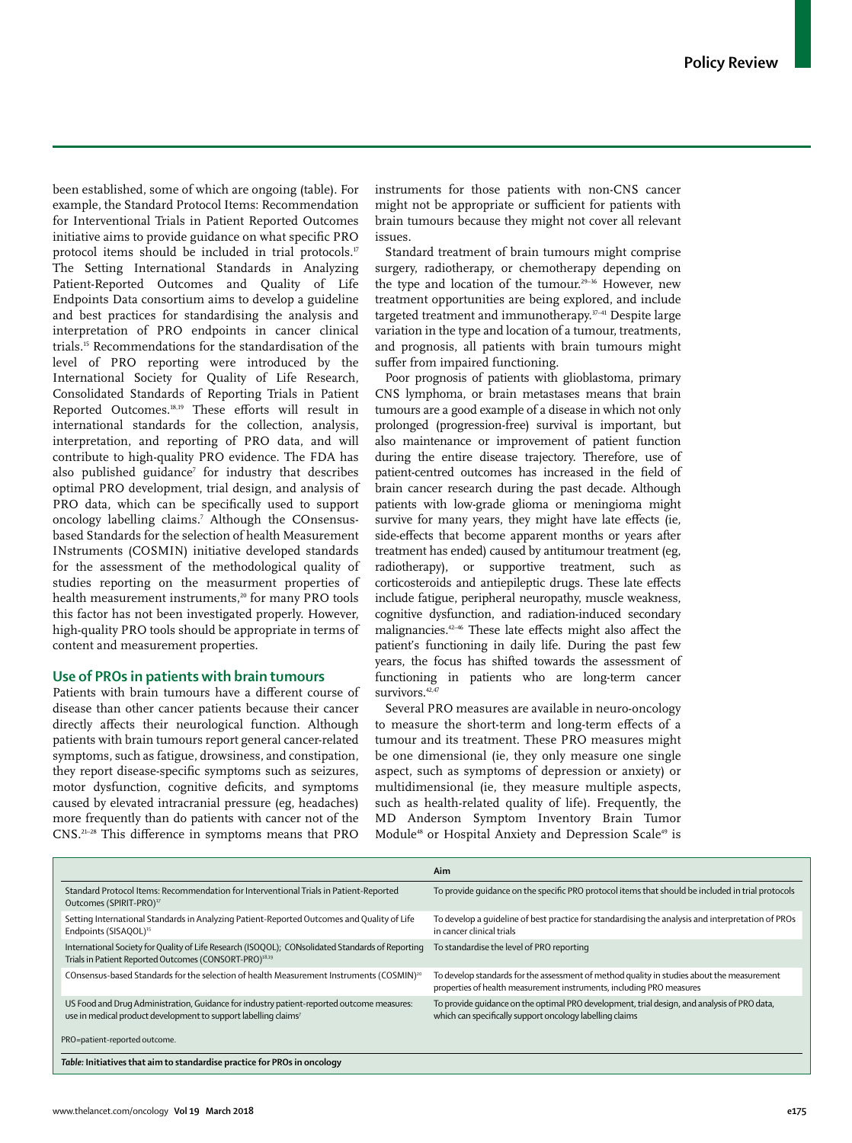been established, some of which are ongoing (table). For example, the Standard Protocol Items: Recommendation for Interventional Trials in Patient Reported Outcomes initiative aims to provide guidance on what specific PRO protocol items should be included in trial protocols.<sup>17</sup> The Setting International Standards in Analyzing Patient-Reported Outcomes and Quality of Life Endpoints Data consortium aims to develop a guideline and best practices for standardising the analysis and interpretation of PRO endpoints in cancer clinical trials.15 Recommendations for the standardisation of the level of PRO reporting were introduced by the International Society for Quality of Life Research, Consolidated Standards of Reporting Trials in Patient Reported Outcomes.18,19 These efforts will result in international standards for the collection, analysis, interpretation, and reporting of PRO data, and will contribute to high-quality PRO evidence. The FDA has also published guidance<sup>7</sup> for industry that describes optimal PRO development, trial design, and analysis of PRO data, which can be specifically used to support oncology labelling claims.7 Although the COnsensusbased Standards for the selection of health Measurement INstruments (COSMIN) initiative developed standards for the assessment of the methodological quality of studies reporting on the measurment properties of health measurement instruments,<sup>20</sup> for many PRO tools this factor has not been investigated properly. However, high-quality PRO tools should be appropriate in terms of content and measurement properties.

# **Use of PROs in patients with brain tumours**

Patients with brain tumours have a different course of disease than other cancer patients because their cancer directly affects their neurological function. Although patients with brain tumours report general cancer-related symptoms, such as fatigue, drowsiness, and constipation, they report disease-specific symptoms such as seizures, motor dysfunction, cognitive deficits, and symptoms caused by elevated intracranial pressure (eg, headaches) more frequently than do patients with cancer not of the CNS.21–28 This difference in symptoms means that PRO instruments for those patients with non-CNS cancer might not be appropriate or sufficient for patients with brain tumours because they might not cover all relevant issues.

Standard treatment of brain tumours might comprise surgery, radiotherapy, or chemotherapy depending on the type and location of the tumour.<sup>29-36</sup> However, new treatment opportunities are being explored, and include targeted treatment and immunotherapy.37–41 Despite large variation in the type and location of a tumour, treatments, and prognosis, all patients with brain tumours might suffer from impaired functioning.

Poor prognosis of patients with glioblastoma, primary CNS lymphoma, or brain metastases means that brain tumours are a good example of a disease in which not only prolonged (progression-free) survival is important, but also maintenance or improvement of patient function during the entire disease trajectory. Therefore, use of patient-centred outcomes has increased in the field of brain cancer research during the past decade. Although patients with low-grade glioma or meningioma might survive for many years, they might have late effects (ie, side-effects that become apparent months or years after treatment has ended) caused by antitumour treatment (eg, radiotherapy), or supportive treatment, such as corticosteroids and antiepileptic drugs. These late effects include fatigue, peripheral neuropathy, muscle weakness, cognitive dysfunction, and radiation-induced secondary malignancies.42–46 These late effects might also affect the patient's functioning in daily life. During the past few years, the focus has shifted towards the assessment of functioning in patients who are long-term cancer survivors.<sup>42,47</sup>

Several PRO measures are available in neuro-oncology to measure the short-term and long-term effects of a tumour and its treatment. These PRO measures might be one dimensional (ie, they only measure one single aspect, such as symptoms of depression or anxiety) or multidimensional (ie, they measure multiple aspects, such as health-related quality of life). Frequently, the MD Anderson Symptom Inventory Brain Tumor Module<sup>48</sup> or Hospital Anxiety and Depression Scale<sup>49</sup> is

|                                                                                                                                                                          | Aim                                                                                                                                                                |
|--------------------------------------------------------------------------------------------------------------------------------------------------------------------------|--------------------------------------------------------------------------------------------------------------------------------------------------------------------|
| Standard Protocol Items: Recommendation for Interventional Trials in Patient-Reported<br>Outcomes (SPIRIT-PRO) <sup>17</sup>                                             | To provide quidance on the specific PRO protocol items that should be included in trial protocols                                                                  |
| Setting International Standards in Analyzing Patient-Reported Outcomes and Quality of Life<br>Endpoints (SISAQOL) <sup>15</sup>                                          | To develop a quideline of best practice for standardising the analysis and interpretation of PROs<br>in cancer clinical trials                                     |
| International Society for Quality of Life Research (ISOOOL); CONsolidated Standards of Reporting<br>Trials in Patient Reported Outcomes (CONSORT-PRO) <sup>18,19</sup>   | To standardise the level of PRO reporting                                                                                                                          |
| COnsensus-based Standards for the selection of health Measurement Instruments (COSMIN) <sup>20</sup>                                                                     | To develop standards for the assessment of method quality in studies about the measurement<br>properties of health measurement instruments, including PRO measures |
| US Food and Drug Administration, Guidance for industry patient-reported outcome measures:<br>use in medical product development to support labelling claims <sup>7</sup> | To provide quidance on the optimal PRO development, trial design, and analysis of PRO data,<br>which can specifically support oncology labelling claims            |
| PRO=patient-reported outcome.                                                                                                                                            |                                                                                                                                                                    |
| Table: Initiatives that aim to standardise practice for PROs in oncology                                                                                                 |                                                                                                                                                                    |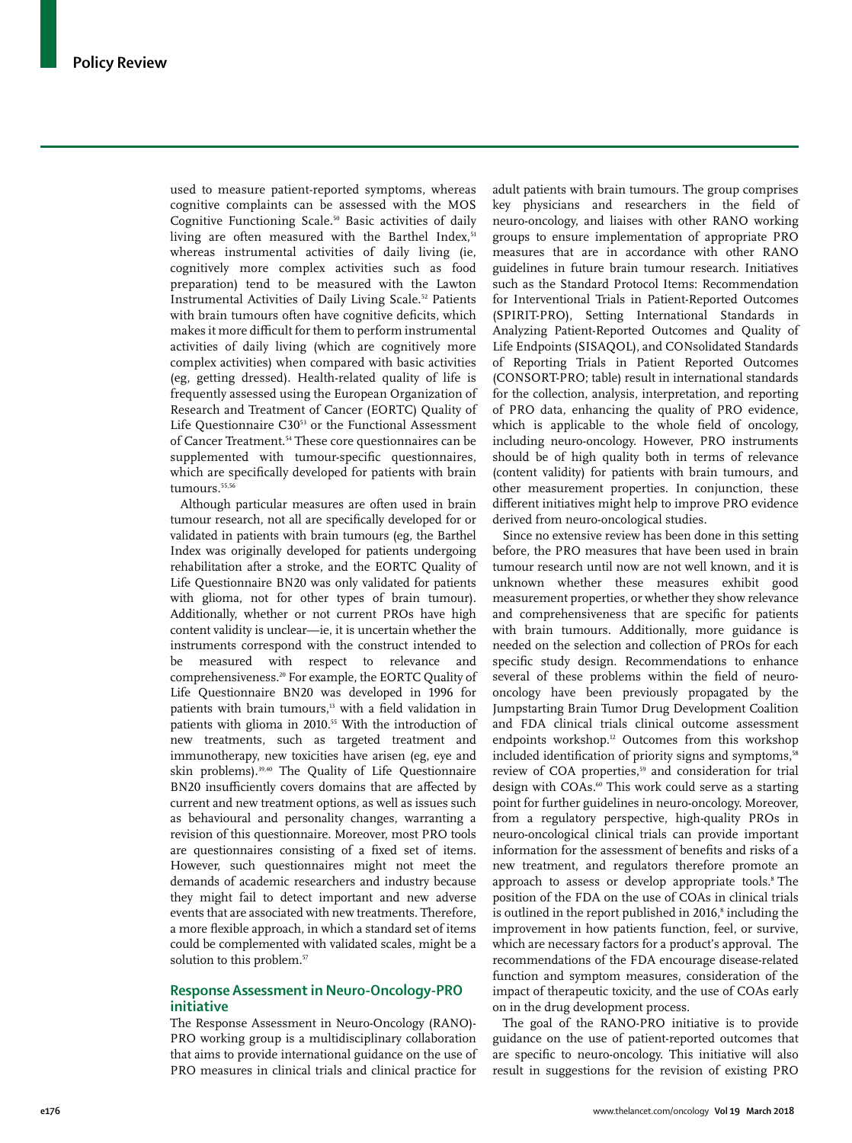used to measure patient-reported symptoms, whereas cognitive complaints can be assessed with the MOS Cognitive Functioning Scale.50 Basic activities of daily living are often measured with the Barthel Index,<sup>51</sup> whereas instrumental activities of daily living (ie, cognitively more complex activities such as food preparation) tend to be measured with the Lawton Instrumental Activities of Daily Living Scale.52 Patients with brain tumours often have cognitive deficits, which makes it more difficult for them to perform instrumental activities of daily living (which are cognitively more complex activities) when compared with basic activities (eg, getting dressed). Health-related quality of life is frequently assessed using the European Organization of Research and Treatment of Cancer (EORTC) Quality of Life Questionnaire C30<sup>53</sup> or the Functional Assessment of Cancer Treatment.<sup>54</sup> These core questionnaires can be supplemented with tumour-specific questionnaires, which are specifically developed for patients with brain  $t$ umours. $55,56$ 

Although particular measures are often used in brain tumour research, not all are specifically developed for or validated in patients with brain tumours (eg, the Barthel Index was originally developed for patients undergoing rehabilitation after a stroke, and the EORTC Quality of Life Questionnaire BN20 was only validated for patients with glioma, not for other types of brain tumour). Additionally, whether or not current PROs have high content validity is unclear—ie, it is uncertain whether the instruments correspond with the construct intended to be measured with respect to relevance and comprehensiveness.20 For example, the EORTC Quality of Life Questionnaire BN20 was developed in 1996 for patients with brain tumours,<sup>13</sup> with a field validation in patients with glioma in 2010.<sup>55</sup> With the introduction of new treatments, such as targeted treatment and immunotherapy, new toxicities have arisen (eg, eye and skin problems).39,40 The Quality of Life Questionnaire BN20 insufficiently covers domains that are affected by current and new treatment options, as well as issues such as behavioural and personality changes, warranting a revision of this questionnaire. Moreover, most PRO tools are questionnaires consisting of a fixed set of items. However, such questionnaires might not meet the demands of academic researchers and industry because they might fail to detect important and new adverse events that are associated with new treatments. Therefore, a more flexible approach, in which a standard set of items could be complemented with validated scales, might be a solution to this problem.<sup>57</sup>

## **Response Assessment in Neuro-Oncology-PRO initiative**

The Response Assessment in Neuro-Oncology (RANO)- PRO working group is a multidisciplinary collaboration that aims to provide international guidance on the use of PRO measures in clinical trials and clinical practice for adult patients with brain tumours. The group comprises key physicians and researchers in the field of neuro-oncology, and liaises with other RANO working groups to ensure implementation of appropriate PRO measures that are in accordance with other RANO guidelines in future brain tumour research. Initiatives such as the Standard Protocol Items: Recommendation for Interventional Trials in Patient-Reported Outcomes (SPIRIT-PRO), Setting International Standards in Analyzing Patient-Reported Outcomes and Quality of Life Endpoints (SISAQOL), and CONsolidated Standards of Reporting Trials in Patient Reported Outcomes (CONSORT-PRO; table) result in international standards for the collection, analysis, interpretation, and reporting of PRO data, enhancing the quality of PRO evidence, which is applicable to the whole field of oncology, including neuro-oncology. However, PRO instruments should be of high quality both in terms of relevance (content validity) for patients with brain tumours, and other measurement properties. In conjunction, these different initiatives might help to improve PRO evidence derived from neuro-oncological studies.

Since no extensive review has been done in this setting before, the PRO measures that have been used in brain tumour research until now are not well known, and it is unknown whether these measures exhibit good measurement properties, or whether they show relevance and comprehensiveness that are specific for patients with brain tumours. Additionally, more guidance is needed on the selection and collection of PROs for each specific study design. Recommendations to enhance several of these problems within the field of neurooncology have been previously propagated by the Jumpstarting Brain Tumor Drug Development Coalition and FDA clinical trials clinical outcome assessment endpoints workshop.<sup>12</sup> Outcomes from this workshop included identification of priority signs and symptoms,<sup>58</sup> review of COA properties,<sup>59</sup> and consideration for trial design with COAs.<sup>60</sup> This work could serve as a starting point for further guidelines in neuro-oncology. Moreover, from a regulatory perspective, high-quality PROs in neuro-oncological clinical trials can provide important information for the assessment of benefits and risks of a new treatment, and regulators therefore promote an approach to assess or develop appropriate tools.<sup>8</sup> The position of the FDA on the use of COAs in clinical trials is outlined in the report published in 2016,<sup>8</sup> including the improvement in how patients function, feel, or survive, which are necessary factors for a product's approval. The recommendations of the FDA encourage disease-related function and symptom measures, consideration of the impact of therapeutic toxicity, and the use of COAs early on in the drug development process.

The goal of the RANO-PRO initiative is to provide guidance on the use of patient-reported outcomes that are specific to neuro-oncology. This initiative will also result in suggestions for the revision of existing PRO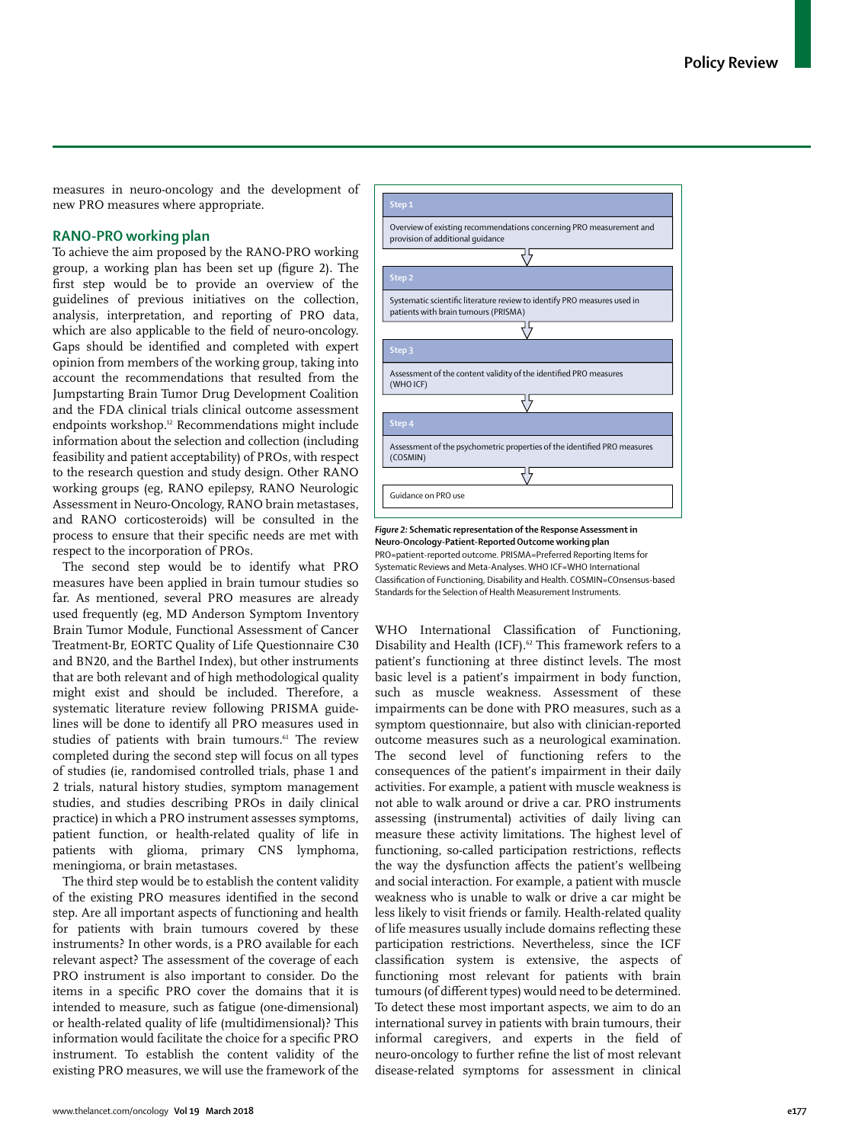measures in neuro-oncology and the development of new PRO measures where appropriate.

# **RANO-PRO working plan**

To achieve the aim proposed by the RANO-PRO working group, a working plan has been set up (figure 2). The first step would be to provide an overview of the guidelines of previous initiatives on the collection, analysis, interpretation, and reporting of PRO data, which are also applicable to the field of neuro-oncology. Gaps should be identified and completed with expert opinion from members of the working group, taking into account the recommendations that resulted from the Jumpstarting Brain Tumor Drug Development Coalition and the FDA clinical trials clinical outcome assessment endpoints workshop.12 Recommendations might include information about the selection and collection (including feasibility and patient acceptability) of PROs, with respect to the research question and study design. Other RANO working groups (eg, RANO epilepsy, RANO Neurologic Assessment in Neuro-Oncology, RANO brain metastases, and RANO corticosteroids) will be consulted in the process to ensure that their specific needs are met with respect to the incorporation of PROs.

The second step would be to identify what PRO measures have been applied in brain tumour studies so far. As mentioned, several PRO measures are already used frequently (eg, MD Anderson Symptom Inventory Brain Tumor Module, Functional Assessment of Cancer Treatment-Br, EORTC Quality of Life Questionnaire C30 and BN20, and the Barthel Index), but other instruments that are both relevant and of high methodological quality might exist and should be included. Therefore, a systematic literature review following PRISMA guidelines will be done to identify all PRO measures used in studies of patients with brain tumours.<sup>61</sup> The review completed during the second step will focus on all types of studies (ie, randomised controlled trials, phase 1 and 2 trials, natural history studies, symptom management studies, and studies describing PROs in daily clinical practice) in which a PRO instrument assesses symptoms, patient function, or health-related quality of life in patients with glioma, primary CNS lymphoma, meningioma, or brain metastases.

The third step would be to establish the content validity of the existing PRO measures identified in the second step. Are all important aspects of functioning and health for patients with brain tumours covered by these instruments? In other words, is a PRO available for each relevant aspect? The assessment of the coverage of each PRO instrument is also important to consider. Do the items in a specific PRO cover the domains that it is intended to measure, such as fatigue (one-dimensional) or health-related quality of life (multidimensional)? This information would facilitate the choice for a specific PRO instrument. To establish the content validity of the existing PRO measures, we will use the framework of the



*Figure 2:* **Schematic representation of the Response Assessment in Neuro-Oncology-Patient-Reported Outcome working plan** PRO=patient-reported outcome. PRISMA=Preferred Reporting Items for Systematic Reviews and Meta-Analyses. WHO ICF=WHO International Classification of Functioning, Disability and Health. COSMIN=COnsensus-based Standards for the Selection of Health Measurement Instruments.

WHO International Classification of Functioning, Disability and Health (ICF).<sup>62</sup> This framework refers to a patient's functioning at three distinct levels. The most basic level is a patient's impairment in body function, such as muscle weakness. Assessment of these impairments can be done with PRO measures, such as a symptom questionnaire, but also with clinician-reported outcome measures such as a neurological examination. The second level of functioning refers to the consequences of the patient's impairment in their daily activities. For example, a patient with muscle weakness is not able to walk around or drive a car. PRO instruments assessing (instrumental) activities of daily living can measure these activity limitations. The highest level of functioning, so-called participation restrictions, reflects the way the dysfunction affects the patient's wellbeing and social interaction. For example, a patient with muscle weakness who is unable to walk or drive a car might be less likely to visit friends or family. Health-related quality of life measures usually include domains reflecting these participation restrictions. Nevertheless, since the ICF classification system is extensive, the aspects of functioning most relevant for patients with brain tumours (of different types) would need to be determined. To detect these most important aspects, we aim to do an international survey in patients with brain tumours, their informal caregivers, and experts in the field of neuro-oncology to further refine the list of most relevant disease-related symptoms for assessment in clinical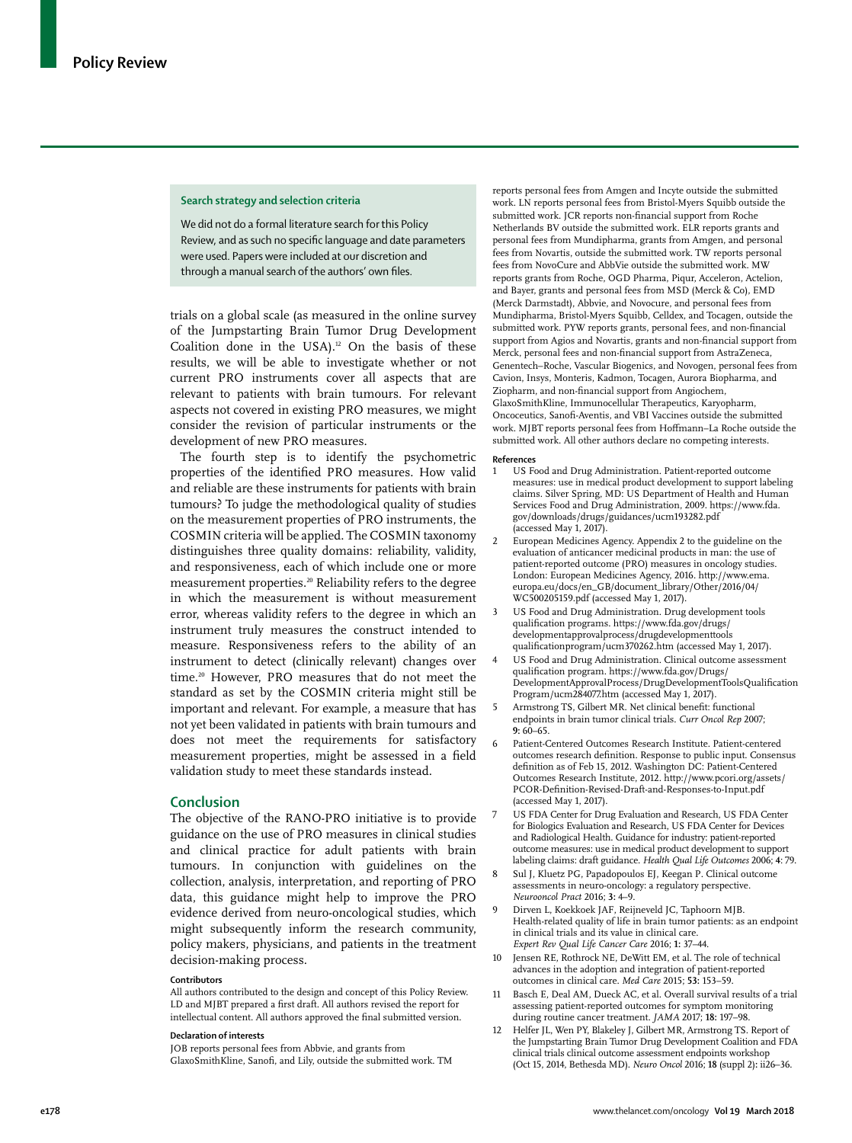#### **Search strategy and selection criteria**

We did not do a formal literature search for this Policy Review, and as such no specific language and date parameters were used. Papers were included at our discretion and through a manual search of the authors' own files.

trials on a global scale (as measured in the online survey of the Jumpstarting Brain Tumor Drug Development Coalition done in the USA).<sup>12</sup> On the basis of these results, we will be able to investigate whether or not current PRO instruments cover all aspects that are relevant to patients with brain tumours. For relevant aspects not covered in existing PRO measures, we might consider the revision of particular instruments or the development of new PRO measures.

The fourth step is to identify the psychometric properties of the identified PRO measures. How valid and reliable are these instruments for patients with brain tumours? To judge the methodological quality of studies on the measurement properties of PRO instruments, the COSMIN criteria will be applied. The COSMIN taxonomy distinguishes three quality domains: reliability, validity, and responsiveness, each of which include one or more measurement properties.20 Reliability refers to the degree in which the measurement is without measurement error, whereas validity refers to the degree in which an instrument truly measures the construct intended to measure. Responsiveness refers to the ability of an instrument to detect (clinically relevant) changes over time.<sup>20</sup> However, PRO measures that do not meet the standard as set by the COSMIN criteria might still be important and relevant. For example, a measure that has not yet been validated in patients with brain tumours and does not meet the requirements for satisfactory measurement properties, might be assessed in a field validation study to meet these standards instead.

#### **Conclusion**

The objective of the RANO-PRO initiative is to provide guidance on the use of PRO measures in clinical studies and clinical practice for adult patients with brain tumours. In conjunction with guidelines on the collection, analysis, interpretation, and reporting of PRO data, this guidance might help to improve the PRO evidence derived from neuro-oncological studies, which might subsequently inform the research community, policy makers, physicians, and patients in the treatment decision-making process.

#### **Contributors**

All authors contributed to the design and concept of this Policy Review. LD and MJBT prepared a first draft. All authors revised the report for intellectual content. All authors approved the final submitted version.

#### **Declaration of interests**

JOB reports personal fees from Abbvie, and grants from GlaxoSmithKline, Sanofi, and Lily, outside the submitted work. TM reports personal fees from Amgen and Incyte outside the submitted work. LN reports personal fees from Bristol-Myers Squibb outside the submitted work. JCR reports non-financial support from Roche Netherlands BV outside the submitted work. ELR reports grants and personal fees from Mundipharma, grants from Amgen, and personal fees from Novartis, outside the submitted work. TW reports personal fees from NovoCure and AbbVie outside the submitted work. MW reports grants from Roche, OGD Pharma, Piqur, Acceleron, Actelion, and Bayer, grants and personal fees from MSD (Merck & Co), EMD (Merck Darmstadt), Abbvie, and Novocure, and personal fees from Mundipharma, Bristol-Myers Squibb, Celldex, and Tocagen, outside the submitted work. PYW reports grants, personal fees, and non-financial support from Agios and Novartis, grants and non-financial support from Merck, personal fees and non-financial support from AstraZeneca, Genentech–Roche, Vascular Biogenics, and Novogen, personal fees from Cavion, Insys, Monteris, Kadmon, Tocagen, Aurora Biopharma, and Ziopharm, and non-financial support from Angiochem, GlaxoSmithKline, Immunocellular Therapeutics, Karyopharm, Oncoceutics, Sanofi-Aventis, and VBI Vaccines outside the submitted work. MJBT reports personal fees from Hoffmann–La Roche outside the submitted work. All other authors declare no competing interests.

#### **References**

- 1 US Food and Drug Administration. Patient-reported outcome measures: use in medical product development to support labeling claims. Silver Spring, MD: US Department of Health and Human Services Food and Drug Administration, 2009. https://www.fda. gov/downloads/drugs/guidances/ucm193282.pdf (accessed May 1, 2017).
- 2 European Medicines Agency. Appendix 2 to the guideline on the evaluation of anticancer medicinal products in man: the use of patient-reported outcome (PRO) measures in oncology studies. London: European Medicines Agency, 2016. http://www.ema. europa.eu/docs/en\_GB/document\_library/Other/2016/04/ WC500205159.pdf (accessed May 1, 2017).
- 3 US Food and Drug Administration. Drug development tools qualification programs. https://www.fda.gov/drugs/ developmentapprovalprocess/drugdevelopmenttools qualificationprogram/ucm370262.htm (accessed May 1, 2017).
- US Food and Drug Administration. Clinical outcome assessment qualification program. https://www.fda.gov/Drugs/ DevelopmentApprovalProcess/DrugDevelopmentToolsQualification Program/ucm284077.htm (accessed May 1, 2017).
- 5 Armstrong TS, Gilbert MR. Net clinical benefit: functional endpoints in brain tumor clinical trials. *Curr Oncol Rep* 2007; **9:** 60–65.
- 6 Patient-Centered Outcomes Research Institute. Patient-centered outcomes research definition. Response to public input. Consensus definition as of Feb 15, 2012. Washington DC: Patient-Centered Outcomes Research Institute, 2012. http://www.pcori.org/assets/ PCOR-Definition-Revised-Draft-and-Responses-to-Input.pdf (accessed May 1, 2017).
- US FDA Center for Drug Evaluation and Research, US FDA Center for Biologics Evaluation and Research, US FDA Center for Devices and Radiological Health. Guidance for industry: patient-reported outcome measures: use in medical product development to support labeling claims: draft guidance. *Health Qual Life Outcomes* 2006; **4**: 79.
- 8 Sul J, Kluetz PG, Papadopoulos EJ, Keegan P. Clinical outcome assessments in neuro-oncology: a regulatory perspective. *Neurooncol Pract* 2016; **3:** 4–9.
- Dirven L, Koekkoek JAF, Reijneveld JC, Taphoorn MJB. Health-related quality of life in brain tumor patients: as an endpoint in clinical trials and its value in clinical care. *Expert Rev Qual Life Cancer Care* 2016; **1:** 37–44.
- 10 Jensen RE, Rothrock NE, DeWitt EM, et al. The role of technical advances in the adoption and integration of patient-reported outcomes in clinical care. *Med Care* 2015; **53:** 153–59.
- 11 Basch E, Deal AM, Dueck AC, et al. Overall survival results of a trial assessing patient-reported outcomes for symptom monitoring during routine cancer treatment. *JAMA* 2017; **18:** 197–98.
- 12 Helfer JL, Wen PY, Blakeley J, Gilbert MR, Armstrong TS. Report of the Jumpstarting Brain Tumor Drug Development Coalition and FDA clinical trials clinical outcome assessment endpoints workshop (Oct 15, 2014, Bethesda MD). *Neuro Oncol* 2016; **18** (suppl 2)**:** ii26–36.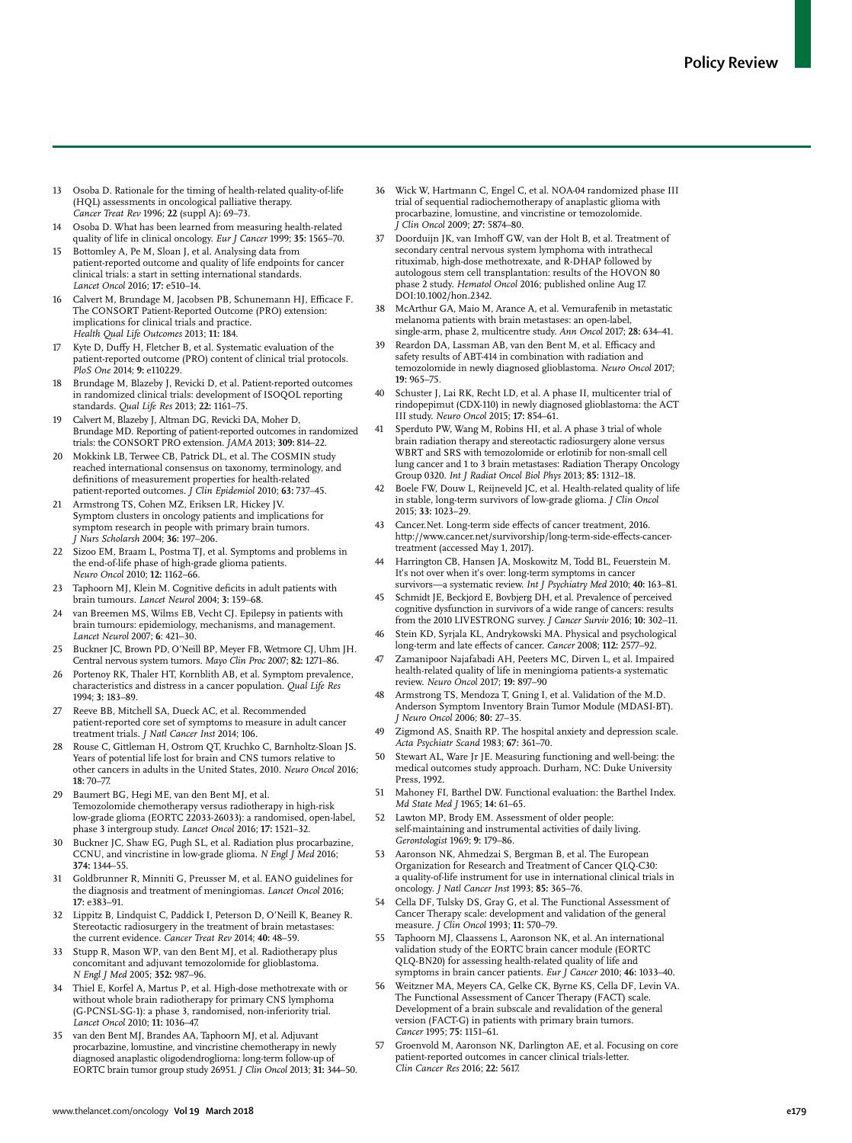- 13 Osoba D. Rationale for the timing of health-related quality-of-life (HQL) assessments in oncological palliative therapy. *Cancer Treat Rev* 1996; **22** (suppl A)**:** 69–73.
- 14 Osoba D. What has been learned from measuring health-related quality of life in clinical oncology. *Eur J Cancer* 1999; **35:** 1565–70.
- 15 Bottomley A, Pe M, Sloan J, et al. Analysing data from patient-reported outcome and quality of life endpoints for cancer clinical trials: a start in setting international standards. *Lancet Oncol* 2016; **17:** e510–14.
- 16 Calvert M, Brundage M, Jacobsen PB, Schunemann HJ, Efficace F. The CONSORT Patient-Reported Outcome (PRO) extension: implications for clinical trials and practice. *Health Qual Life Outcomes* 2013; **11:** 184.
- 17 Kyte D, Duffy H, Fletcher B, et al. Systematic evaluation of the patient-reported outcome (PRO) content of clinical trial protocols. *PloS One* 2014; **9:** e110229.
- 18 Brundage M, Blazeby J, Revicki D, et al. Patient-reported outcomes in randomized clinical trials: development of ISOQOL reporting standards. *Qual Life Res* 2013; **22:** 1161–75.
- 19 Calvert M, Blazeby J, Altman DG, Revicki DA, Moher D, Brundage MD. Reporting of patient-reported outcomes in randomized trials: the CONSORT PRO extension. *JAMA* 2013; **309:** 814–22.
- 20 Mokkink LB, Terwee CB, Patrick DL, et al. The COSMIN study reached international consensus on taxonomy, terminology, and definitions of measurement properties for health-related patient-reported outcomes. *J Clin Epidemiol* 2010; **63:** 737–45.
- 21 Armstrong TS, Cohen MZ, Eriksen LR, Hickey JV. Symptom clusters in oncology patients and implications for symptom research in people with primary brain tumors. *J Nurs Scholarsh* 2004; **36:** 197–206.
- 22 Sizoo EM, Braam L, Postma TJ, et al. Symptoms and problems in the end-of-life phase of high-grade glioma patients. *Neuro Oncol* 2010; **12:** 1162–66.
- 23 Taphoorn MJ, Klein M. Cognitive deficits in adult patients with brain tumours. *Lancet Neurol* 2004; **3:** 159–68.
- van Breemen MS, Wilms EB, Vecht CJ. Epilepsy in patients with brain tumours: epidemiology, mechanisms, and management. *Lancet Neurol* 2007; **6**: 421–30.
- 25 Buckner JC, Brown PD, O'Neill BP, Meyer FB, Wetmore CJ, Uhm JH. Central nervous system tumors. *Mayo Clin Proc* 2007; **82:** 1271–86.
- 26 Portenoy RK, Thaler HT, Kornblith AB, et al. Symptom prevalence, characteristics and distress in a cancer population. *Qual Life Res* 1994; **3:** 183–89.
- 27 Reeve BB, Mitchell SA, Dueck AC, et al. Recommended patient-reported core set of symptoms to measure in adult cancer treatment trials. *J Natl Cancer Inst* 2014; 106.
- 28 Rouse C, Gittleman H, Ostrom QT, Kruchko C, Barnholtz-Sloan JS. Years of potential life lost for brain and CNS tumors relative to other cancers in adults in the United States, 2010. *Neuro Oncol* 2016; **18:** 70–77.
- 29 Baumert BG, Hegi ME, van den Bent MJ, et al. Temozolomide chemotherapy versus radiotherapy in high-risk low-grade glioma (EORTC 22033-26033): a randomised, open-label, phase 3 intergroup study. *Lancet Oncol* 2016; **17:** 1521–32.
- 30 Buckner JC, Shaw EG, Pugh SL, et al. Radiation plus procarbazine, CCNU, and vincristine in low-grade glioma. *N Engl J Med* 2016; **374:** 1344–55.
- 31 Goldbrunner R, Minniti G, Preusser M, et al. EANO guidelines for the diagnosis and treatment of meningiomas. *Lancet Oncol* 2016; **17:** e383–91.
- 32 Lippitz B, Lindquist C, Paddick I, Peterson D, O'Neill K, Beaney R. Stereotactic radiosurgery in the treatment of brain metastases: the current evidence. *Cancer Treat Rev* 2014; **40:** 48–59.
- Stupp R, Mason WP, van den Bent MJ, et al. Radiotherapy plus concomitant and adjuvant temozolomide for glioblastoma. *N Engl J Med* 2005; **352:** 987–96.
- Thiel E, Korfel A, Martus P, et al. High-dose methotrexate with or without whole brain radiotherapy for primary CNS lymphoma (G-PCNSL-SG-1): a phase 3, randomised, non-inferiority trial. *Lancet Oncol* 2010; **11:** 1036–47.
- 35 van den Bent MJ, Brandes AA, Taphoorn MJ, et al. Adjuvant procarbazine, lomustine, and vincristine chemotherapy in newly diagnosed anaplastic oligodendroglioma: long-term follow-up of EORTC brain tumor group study 26951. *J Clin Oncol* 2013; **31:** 344–50.
- 36 Wick W, Hartmann C, Engel C, et al. NOA-04 randomized phase III trial of sequential radiochemotherapy of anaplastic glioma with procarbazine, lomustine, and vincristine or temozolomide. *J Clin Oncol* 2009; **27:** 5874–80.
- 37 Doorduijn JK, van Imhoff GW, van der Holt B, et al. Treatment of secondary central nervous system lymphoma with intrathecal rituximab, high-dose methotrexate, and R-DHAP followed by autologous stem cell transplantation: results of the HOVON 80 phase 2 study. *Hematol Oncol* 2016; published online Aug 17. DOI:10.1002/hon.2342.
- 38 McArthur GA, Maio M, Arance A, et al. Vemurafenib in metastatic melanoma patients with brain metastases: an open-label, single-arm, phase 2, multicentre study. *Ann Oncol* 2017; **28:** 634–41.
- Reardon DA, Lassman AB, van den Bent M, et al. Efficacy and safety results of ABT-414 in combination with radiation and temozolomide in newly diagnosed glioblastoma. *Neuro Oncol* 2017; **19:** 965–75.
- 40 Schuster J, Lai RK, Recht LD, et al. A phase II, multicenter trial of rindopepimut (CDX-110) in newly diagnosed glioblastoma: the ACT III study. *Neuro Oncol* 2015; **17:** 854–61.
- Sperduto PW, Wang M, Robins HI, et al. A phase 3 trial of whole brain radiation therapy and stereotactic radiosurgery alone versus WBRT and SRS with temozolomide or erlotinib for non-small cell lung cancer and 1 to 3 brain metastases: Radiation Therapy Oncology Group 0320. *Int J Radiat Oncol Biol Phys* 2013; **85:** 1312–18.
- 42 Boele FW, Douw L, Reijneveld JC, et al. Health-related quality of life in stable, long-term survivors of low-grade glioma. *J Clin Oncol*  2015; **33:** 1023–29.
- Cancer.Net. Long-term side effects of cancer treatment, 2016. http://www.cancer.net/survivorship/long-term-side-effects-cancertreatment (accessed May 1, 2017).
- 44 Harrington CB, Hansen JA, Moskowitz M, Todd BL, Feuerstein M. It's not over when it's over: long-term symptoms in cancer survivors—a systematic review. *Int J Psychiatry Med* 2010; **40:** 163–81.
- Schmidt JE, Beckjord E, Bovbjerg DH, et al. Prevalence of perceived cognitive dysfunction in survivors of a wide range of cancers: results from the 2010 LIVESTRONG survey. *J Cancer Surviv* 2016; **10:** 302–11.
- Stein KD, Syrjala KL, Andrykowski MA. Physical and psychological long-term and late effects of cancer. *Cancer* 2008; **112:** 2577–92.
- Zamanipoor Najafabadi AH, Peeters MC, Dirven L, et al. Impaired health-related quality of life in meningioma patients-a systematic review. *Neuro Oncol* 2017; **19:** 897–90
- Armstrong TS, Mendoza T, Gning I, et al. Validation of the M.D. Anderson Symptom Inventory Brain Tumor Module (MDASI-BT). *J Neuro Oncol* 2006; **80:** 27–35.
- Zigmond AS, Snaith RP. The hospital anxiety and depression scale. *Acta Psychiatr Scand* 1983; **67:** 361–70.
- 50 Stewart AL, Ware Jr JE. Measuring functioning and well-being: the medical outcomes study approach. Durham, NC: Duke University Press, 1992.
- 51 Mahoney FI, Barthel DW. Functional evaluation: the Barthel Index. *Md State Med J* 1965; **14:** 61–65.
- 52 Lawton MP, Brody EM. Assessment of older people: self-maintaining and instrumental activities of daily living. *Gerontologist* 1969; **9:** 179–86.
- 53 Aaronson NK, Ahmedzai S, Bergman B, et al. The European Organization for Research and Treatment of Cancer QLQ-C30: a quality-of-life instrument for use in international clinical trials in oncology. *J Natl Cancer Inst* 1993; **85:** 365–76.
- 54 Cella DF, Tulsky DS, Gray G, et al. The Functional Assessment of Cancer Therapy scale: development and validation of the general measure. *J Clin Oncol* 1993; **11:** 570–79.
- 55 Taphoorn MJ, Claassens L, Aaronson NK, et al. An international validation study of the EORTC brain cancer module (EORTC QLQ-BN20) for assessing health-related quality of life and symptoms in brain cancer patients. *Eur J Cancer* 2010; **46:** 1033–40.
- 56 Weitzner MA, Meyers CA, Gelke CK, Byrne KS, Cella DF, Levin VA. The Functional Assessment of Cancer Therapy (FACT) scale. Development of a brain subscale and revalidation of the general version (FACT-G) in patients with primary brain tumors. *Cancer* 1995; **75:** 1151–61.
- 57 Groenvold M, Aaronson NK, Darlington AE, et al. Focusing on core patient-reported outcomes in cancer clinical trials-letter. *Clin Cancer Res* 2016; **22:** 5617.